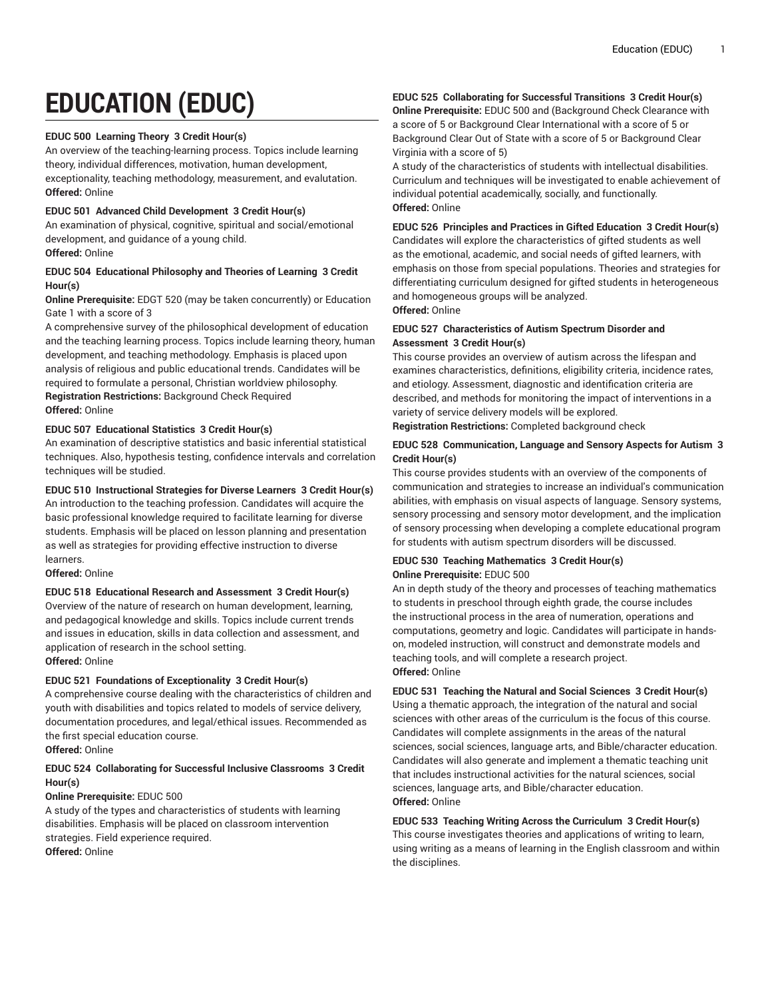# **EDUCATION (EDUC)**

#### **EDUC 500 Learning Theory 3 Credit Hour(s)**

An overview of the teaching-learning process. Topics include learning theory, individual differences, motivation, human development, exceptionality, teaching methodology, measurement, and evalutation. **Offered:** Online

#### **EDUC 501 Advanced Child Development 3 Credit Hour(s)**

An examination of physical, cognitive, spiritual and social/emotional development, and guidance of a young child.

# **Offered:** Online

#### **EDUC 504 Educational Philosophy and Theories of Learning 3 Credit Hour(s)**

**Online Prerequisite:** EDGT 520 (may be taken concurrently) or Education Gate 1 with a score of 3

A comprehensive survey of the philosophical development of education and the teaching learning process. Topics include learning theory, human development, and teaching methodology. Emphasis is placed upon analysis of religious and public educational trends. Candidates will be required to formulate a personal, Christian worldview philosophy. **Registration Restrictions:** Background Check Required **Offered:** Online

#### **EDUC 507 Educational Statistics 3 Credit Hour(s)**

An examination of descriptive statistics and basic inferential statistical techniques. Also, hypothesis testing, confidence intervals and correlation techniques will be studied.

#### **EDUC 510 Instructional Strategies for Diverse Learners 3 Credit Hour(s)**

An introduction to the teaching profession. Candidates will acquire the basic professional knowledge required to facilitate learning for diverse students. Emphasis will be placed on lesson planning and presentation as well as strategies for providing effective instruction to diverse learners.

**Offered:** Online

# **EDUC 518 Educational Research and Assessment 3 Credit Hour(s)**

Overview of the nature of research on human development, learning, and pedagogical knowledge and skills. Topics include current trends and issues in education, skills in data collection and assessment, and application of research in the school setting. **Offered:** Online

# **EDUC 521 Foundations of Exceptionality 3 Credit Hour(s)**

A comprehensive course dealing with the characteristics of children and youth with disabilities and topics related to models of service delivery, documentation procedures, and legal/ethical issues. Recommended as the first special education course.

**Offered:** Online

# **EDUC 524 Collaborating for Successful Inclusive Classrooms 3 Credit Hour(s)**

# **Online Prerequisite:** EDUC 500

A study of the types and characteristics of students with learning disabilities. Emphasis will be placed on classroom intervention strategies. Field experience required. **Offered:** Online

# **EDUC 525 Collaborating for Successful Transitions 3 Credit Hour(s)**

**Online Prerequisite:** EDUC 500 and (Background Check Clearance with a score of 5 or Background Clear International with a score of 5 or Background Clear Out of State with a score of 5 or Background Clear Virginia with a score of 5)

A study of the characteristics of students with intellectual disabilities. Curriculum and techniques will be investigated to enable achievement of individual potential academically, socially, and functionally. **Offered:** Online

**EDUC 526 Principles and Practices in Gifted Education 3 Credit Hour(s)** Candidates will explore the characteristics of gifted students as well as the emotional, academic, and social needs of gifted learners, with emphasis on those from special populations. Theories and strategies for differentiating curriculum designed for gifted students in heterogeneous and homogeneous groups will be analyzed. **Offered:** Online

#### **EDUC 527 Characteristics of Autism Spectrum Disorder and Assessment 3 Credit Hour(s)**

This course provides an overview of autism across the lifespan and examines characteristics, definitions, eligibility criteria, incidence rates, and etiology. Assessment, diagnostic and identification criteria are described, and methods for monitoring the impact of interventions in a variety of service delivery models will be explored. **Registration Restrictions:** Completed background check

# **EDUC 528 Communication, Language and Sensory Aspects for Autism 3 Credit Hour(s)**

This course provides students with an overview of the components of communication and strategies to increase an individual's communication abilities, with emphasis on visual aspects of language. Sensory systems, sensory processing and sensory motor development, and the implication of sensory processing when developing a complete educational program for students with autism spectrum disorders will be discussed.

#### **EDUC 530 Teaching Mathematics 3 Credit Hour(s) Online Prerequisite:** EDUC 500

An in depth study of the theory and processes of teaching mathematics to students in preschool through eighth grade, the course includes the instructional process in the area of numeration, operations and computations, geometry and logic. Candidates will participate in handson, modeled instruction, will construct and demonstrate models and teaching tools, and will complete a research project. **Offered:** Online

# **EDUC 531 Teaching the Natural and Social Sciences 3 Credit Hour(s)**

Using a thematic approach, the integration of the natural and social sciences with other areas of the curriculum is the focus of this course. Candidates will complete assignments in the areas of the natural sciences, social sciences, language arts, and Bible/character education. Candidates will also generate and implement a thematic teaching unit that includes instructional activities for the natural sciences, social sciences, language arts, and Bible/character education. **Offered:** Online

#### **EDUC 533 Teaching Writing Across the Curriculum 3 Credit Hour(s)** This course investigates theories and applications of writing to learn, using writing as a means of learning in the English classroom and within the disciplines.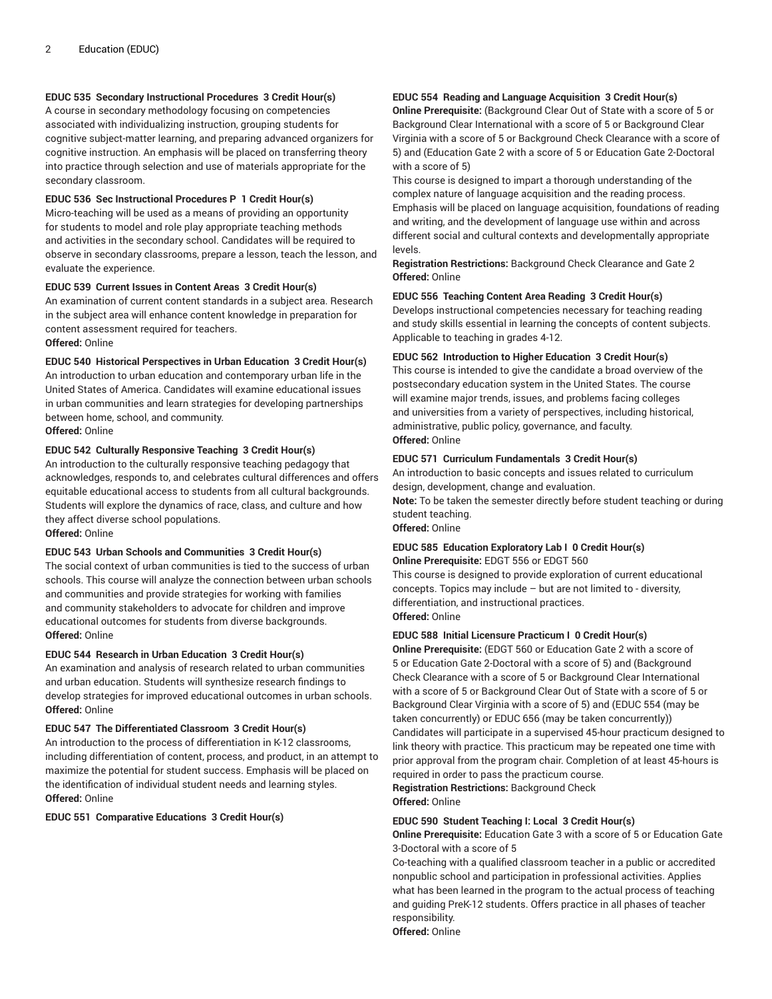# **EDUC 535 Secondary Instructional Procedures 3 Credit Hour(s)**

A course in secondary methodology focusing on competencies associated with individualizing instruction, grouping students for cognitive subject-matter learning, and preparing advanced organizers for cognitive instruction. An emphasis will be placed on transferring theory into practice through selection and use of materials appropriate for the secondary classroom.

#### **EDUC 536 Sec Instructional Procedures P 1 Credit Hour(s)**

Micro-teaching will be used as a means of providing an opportunity for students to model and role play appropriate teaching methods and activities in the secondary school. Candidates will be required to observe in secondary classrooms, prepare a lesson, teach the lesson, and evaluate the experience.

#### **EDUC 539 Current Issues in Content Areas 3 Credit Hour(s)**

An examination of current content standards in a subject area. Research in the subject area will enhance content knowledge in preparation for content assessment required for teachers. **Offered:** Online

#### **EDUC 540 Historical Perspectives in Urban Education 3 Credit Hour(s)**

An introduction to urban education and contemporary urban life in the United States of America. Candidates will examine educational issues in urban communities and learn strategies for developing partnerships between home, school, and community. **Offered:** Online

#### **EDUC 542 Culturally Responsive Teaching 3 Credit Hour(s)**

An introduction to the culturally responsive teaching pedagogy that acknowledges, responds to, and celebrates cultural differences and offers equitable educational access to students from all cultural backgrounds. Students will explore the dynamics of race, class, and culture and how they affect diverse school populations. **Offered:** Online

#### **EDUC 543 Urban Schools and Communities 3 Credit Hour(s)**

The social context of urban communities is tied to the success of urban schools. This course will analyze the connection between urban schools and communities and provide strategies for working with families and community stakeholders to advocate for children and improve educational outcomes for students from diverse backgrounds. **Offered:** Online

#### **EDUC 544 Research in Urban Education 3 Credit Hour(s)**

An examination and analysis of research related to urban communities and urban education. Students will synthesize research findings to develop strategies for improved educational outcomes in urban schools. **Offered:** Online

#### **EDUC 547 The Differentiated Classroom 3 Credit Hour(s)**

An introduction to the process of differentiation in K-12 classrooms, including differentiation of content, process, and product, in an attempt to maximize the potential for student success. Emphasis will be placed on the identification of individual student needs and learning styles. **Offered:** Online

#### **EDUC 551 Comparative Educations 3 Credit Hour(s)**

#### **EDUC 554 Reading and Language Acquisition 3 Credit Hour(s)**

**Online Prerequisite:** (Background Clear Out of State with a score of 5 or Background Clear International with a score of 5 or Background Clear Virginia with a score of 5 or Background Check Clearance with a score of 5) and (Education Gate 2 with a score of 5 or Education Gate 2-Doctoral with a score of 5)

This course is designed to impart a thorough understanding of the complex nature of language acquisition and the reading process. Emphasis will be placed on language acquisition, foundations of reading and writing, and the development of language use within and across different social and cultural contexts and developmentally appropriate levels.

**Registration Restrictions:** Background Check Clearance and Gate 2 **Offered:** Online

#### **EDUC 556 Teaching Content Area Reading 3 Credit Hour(s)**

Develops instructional competencies necessary for teaching reading and study skills essential in learning the concepts of content subjects. Applicable to teaching in grades 4-12.

#### **EDUC 562 Introduction to Higher Education 3 Credit Hour(s)**

This course is intended to give the candidate a broad overview of the postsecondary education system in the United States. The course will examine major trends, issues, and problems facing colleges and universities from a variety of perspectives, including historical, administrative, public policy, governance, and faculty. **Offered:** Online

#### **EDUC 571 Curriculum Fundamentals 3 Credit Hour(s)**

An introduction to basic concepts and issues related to curriculum design, development, change and evaluation. **Note:** To be taken the semester directly before student teaching or during student teaching.

**Offered:** Online

#### **EDUC 585 Education Exploratory Lab I 0 Credit Hour(s) Online Prerequisite:** EDGT 556 or EDGT 560

This course is designed to provide exploration of current educational concepts. Topics may include – but are not limited to - diversity, differentiation, and instructional practices. **Offered:** Online

#### **EDUC 588 Initial Licensure Practicum I 0 Credit Hour(s)**

**Online Prerequisite:** (EDGT 560 or Education Gate 2 with a score of 5 or Education Gate 2-Doctoral with a score of 5) and (Background Check Clearance with a score of 5 or Background Clear International with a score of 5 or Background Clear Out of State with a score of 5 or Background Clear Virginia with a score of 5) and (EDUC 554 (may be taken concurrently) or EDUC 656 (may be taken concurrently)) Candidates will participate in a supervised 45-hour practicum designed to link theory with practice. This practicum may be repeated one time with prior approval from the program chair. Completion of at least 45-hours is required in order to pass the practicum course.

**Registration Restrictions:** Background Check **Offered:** Online

#### **EDUC 590 Student Teaching I: Local 3 Credit Hour(s)**

**Online Prerequisite:** Education Gate 3 with a score of 5 or Education Gate 3-Doctoral with a score of 5

Co-teaching with a qualified classroom teacher in a public or accredited nonpublic school and participation in professional activities. Applies what has been learned in the program to the actual process of teaching and guiding PreK-12 students. Offers practice in all phases of teacher responsibility.

**Offered:** Online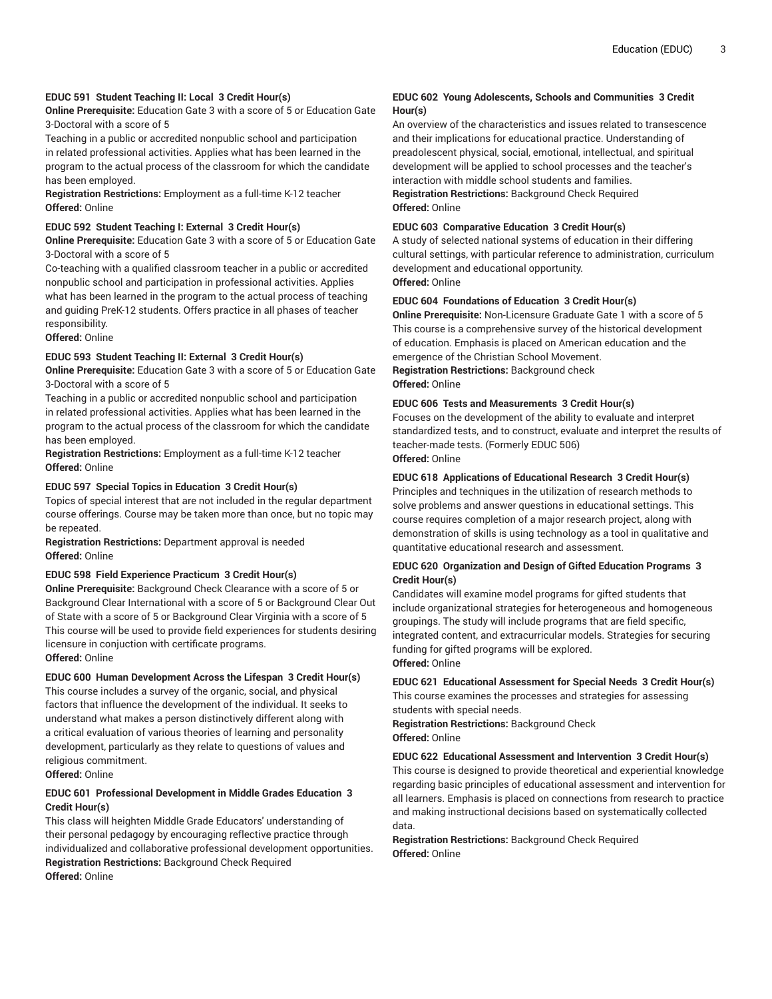#### **EDUC 591 Student Teaching II: Local 3 Credit Hour(s)**

**Online Prerequisite:** Education Gate 3 with a score of 5 or Education Gate 3-Doctoral with a score of 5

Teaching in a public or accredited nonpublic school and participation in related professional activities. Applies what has been learned in the program to the actual process of the classroom for which the candidate has been employed.

**Registration Restrictions:** Employment as a full-time K-12 teacher **Offered:** Online

#### **EDUC 592 Student Teaching I: External 3 Credit Hour(s)**

**Online Prerequisite:** Education Gate 3 with a score of 5 or Education Gate 3-Doctoral with a score of 5

Co-teaching with a qualified classroom teacher in a public or accredited nonpublic school and participation in professional activities. Applies what has been learned in the program to the actual process of teaching and guiding PreK-12 students. Offers practice in all phases of teacher responsibility.

**Offered:** Online

#### **EDUC 593 Student Teaching II: External 3 Credit Hour(s)**

**Online Prerequisite:** Education Gate 3 with a score of 5 or Education Gate 3-Doctoral with a score of 5

Teaching in a public or accredited nonpublic school and participation in related professional activities. Applies what has been learned in the program to the actual process of the classroom for which the candidate has been employed.

**Registration Restrictions:** Employment as a full-time K-12 teacher **Offered:** Online

#### **EDUC 597 Special Topics in Education 3 Credit Hour(s)**

Topics of special interest that are not included in the regular department course offerings. Course may be taken more than once, but no topic may be repeated.

**Registration Restrictions:** Department approval is needed **Offered:** Online

#### **EDUC 598 Field Experience Practicum 3 Credit Hour(s)**

**Online Prerequisite:** Background Check Clearance with a score of 5 or Background Clear International with a score of 5 or Background Clear Out of State with a score of 5 or Background Clear Virginia with a score of 5 This course will be used to provide field experiences for students desiring licensure in conjuction with certificate programs. **Offered:** Online

#### **EDUC 600 Human Development Across the Lifespan 3 Credit Hour(s)**

This course includes a survey of the organic, social, and physical factors that influence the development of the individual. It seeks to understand what makes a person distinctively different along with a critical evaluation of various theories of learning and personality development, particularly as they relate to questions of values and religious commitment.

**Offered:** Online

# **EDUC 601 Professional Development in Middle Grades Education 3 Credit Hour(s)**

This class will heighten Middle Grade Educators' understanding of their personal pedagogy by encouraging reflective practice through individualized and collaborative professional development opportunities. **Registration Restrictions:** Background Check Required **Offered:** Online

#### **EDUC 602 Young Adolescents, Schools and Communities 3 Credit Hour(s)**

An overview of the characteristics and issues related to transescence and their implications for educational practice. Understanding of preadolescent physical, social, emotional, intellectual, and spiritual development will be applied to school processes and the teacher's interaction with middle school students and families.

# **Registration Restrictions:** Background Check Required **Offered:** Online

#### **EDUC 603 Comparative Education 3 Credit Hour(s)**

A study of selected national systems of education in their differing cultural settings, with particular reference to administration, curriculum development and educational opportunity. **Offered:** Online

#### **EDUC 604 Foundations of Education 3 Credit Hour(s)**

**Online Prerequisite:** Non-Licensure Graduate Gate 1 with a score of 5 This course is a comprehensive survey of the historical development of education. Emphasis is placed on American education and the emergence of the Christian School Movement.

**Registration Restrictions:** Background check **Offered:** Online

#### **EDUC 606 Tests and Measurements 3 Credit Hour(s)**

Focuses on the development of the ability to evaluate and interpret standardized tests, and to construct, evaluate and interpret the results of teacher-made tests. (Formerly EDUC 506) **Offered:** Online

#### **EDUC 618 Applications of Educational Research 3 Credit Hour(s)**

Principles and techniques in the utilization of research methods to solve problems and answer questions in educational settings. This course requires completion of a major research project, along with demonstration of skills is using technology as a tool in qualitative and quantitative educational research and assessment.

#### **EDUC 620 Organization and Design of Gifted Education Programs 3 Credit Hour(s)**

Candidates will examine model programs for gifted students that include organizational strategies for heterogeneous and homogeneous groupings. The study will include programs that are field specific, integrated content, and extracurricular models. Strategies for securing funding for gifted programs will be explored. **Offered:** Online

**EDUC 621 Educational Assessment for Special Needs 3 Credit Hour(s)**

This course examines the processes and strategies for assessing students with special needs.

**Registration Restrictions:** Background Check **Offered:** Online

#### **EDUC 622 Educational Assessment and Intervention 3 Credit Hour(s)**

This course is designed to provide theoretical and experiential knowledge regarding basic principles of educational assessment and intervention for all learners. Emphasis is placed on connections from research to practice and making instructional decisions based on systematically collected data.

#### **Registration Restrictions:** Background Check Required **Offered:** Online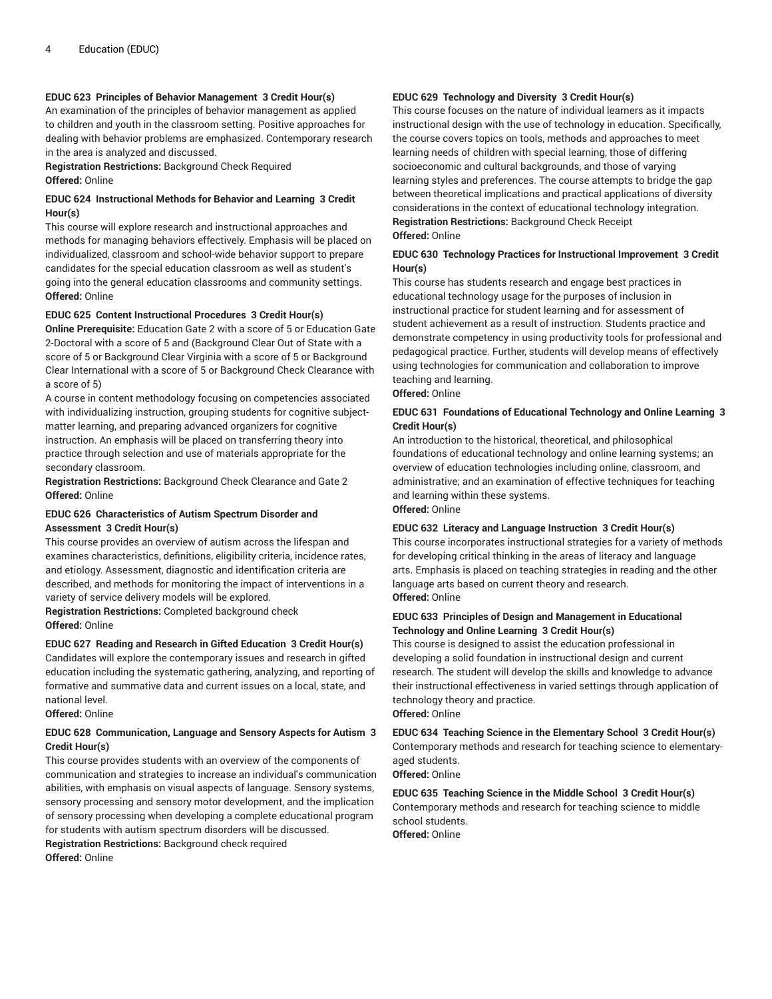#### **EDUC 623 Principles of Behavior Management 3 Credit Hour(s)**

An examination of the principles of behavior management as applied to children and youth in the classroom setting. Positive approaches for dealing with behavior problems are emphasized. Contemporary research in the area is analyzed and discussed.

**Registration Restrictions:** Background Check Required **Offered:** Online

#### **EDUC 624 Instructional Methods for Behavior and Learning 3 Credit Hour(s)**

This course will explore research and instructional approaches and methods for managing behaviors effectively. Emphasis will be placed on individualized, classroom and school-wide behavior support to prepare candidates for the special education classroom as well as student's going into the general education classrooms and community settings. **Offered:** Online

#### **EDUC 625 Content Instructional Procedures 3 Credit Hour(s)**

**Online Prerequisite:** Education Gate 2 with a score of 5 or Education Gate 2-Doctoral with a score of 5 and (Background Clear Out of State with a score of 5 or Background Clear Virginia with a score of 5 or Background Clear International with a score of 5 or Background Check Clearance with a score of 5)

A course in content methodology focusing on competencies associated with individualizing instruction, grouping students for cognitive subjectmatter learning, and preparing advanced organizers for cognitive instruction. An emphasis will be placed on transferring theory into practice through selection and use of materials appropriate for the secondary classroom.

**Registration Restrictions:** Background Check Clearance and Gate 2 **Offered:** Online

#### **EDUC 626 Characteristics of Autism Spectrum Disorder and Assessment 3 Credit Hour(s)**

This course provides an overview of autism across the lifespan and examines characteristics, definitions, eligibility criteria, incidence rates, and etiology. Assessment, diagnostic and identification criteria are described, and methods for monitoring the impact of interventions in a variety of service delivery models will be explored.

**Registration Restrictions:** Completed background check **Offered:** Online

**EDUC 627 Reading and Research in Gifted Education 3 Credit Hour(s)** Candidates will explore the contemporary issues and research in gifted education including the systematic gathering, analyzing, and reporting of formative and summative data and current issues on a local, state, and national level.

**Offered:** Online

# **EDUC 628 Communication, Language and Sensory Aspects for Autism 3 Credit Hour(s)**

This course provides students with an overview of the components of communication and strategies to increase an individual's communication abilities, with emphasis on visual aspects of language. Sensory systems, sensory processing and sensory motor development, and the implication of sensory processing when developing a complete educational program for students with autism spectrum disorders will be discussed. **Registration Restrictions:** Background check required **Offered:** Online

#### **EDUC 629 Technology and Diversity 3 Credit Hour(s)**

This course focuses on the nature of individual learners as it impacts instructional design with the use of technology in education. Specifically, the course covers topics on tools, methods and approaches to meet learning needs of children with special learning, those of differing socioeconomic and cultural backgrounds, and those of varying learning styles and preferences. The course attempts to bridge the gap between theoretical implications and practical applications of diversity considerations in the context of educational technology integration. **Registration Restrictions:** Background Check Receipt **Offered:** Online

# **EDUC 630 Technology Practices for Instructional Improvement 3 Credit Hour(s)**

This course has students research and engage best practices in educational technology usage for the purposes of inclusion in instructional practice for student learning and for assessment of student achievement as a result of instruction. Students practice and demonstrate competency in using productivity tools for professional and pedagogical practice. Further, students will develop means of effectively using technologies for communication and collaboration to improve teaching and learning.

**Offered:** Online

#### **EDUC 631 Foundations of Educational Technology and Online Learning 3 Credit Hour(s)**

An introduction to the historical, theoretical, and philosophical foundations of educational technology and online learning systems; an overview of education technologies including online, classroom, and administrative; and an examination of effective techniques for teaching and learning within these systems.

**Offered:** Online

#### **EDUC 632 Literacy and Language Instruction 3 Credit Hour(s)**

This course incorporates instructional strategies for a variety of methods for developing critical thinking in the areas of literacy and language arts. Emphasis is placed on teaching strategies in reading and the other language arts based on current theory and research. **Offered:** Online

#### **EDUC 633 Principles of Design and Management in Educational Technology and Online Learning 3 Credit Hour(s)**

This course is designed to assist the education professional in developing a solid foundation in instructional design and current research. The student will develop the skills and knowledge to advance their instructional effectiveness in varied settings through application of technology theory and practice.

**Offered:** Online

**EDUC 634 Teaching Science in the Elementary School 3 Credit Hour(s)** Contemporary methods and research for teaching science to elementaryaged students.

**Offered:** Online

**EDUC 635 Teaching Science in the Middle School 3 Credit Hour(s)** Contemporary methods and research for teaching science to middle school students. **Offered:** Online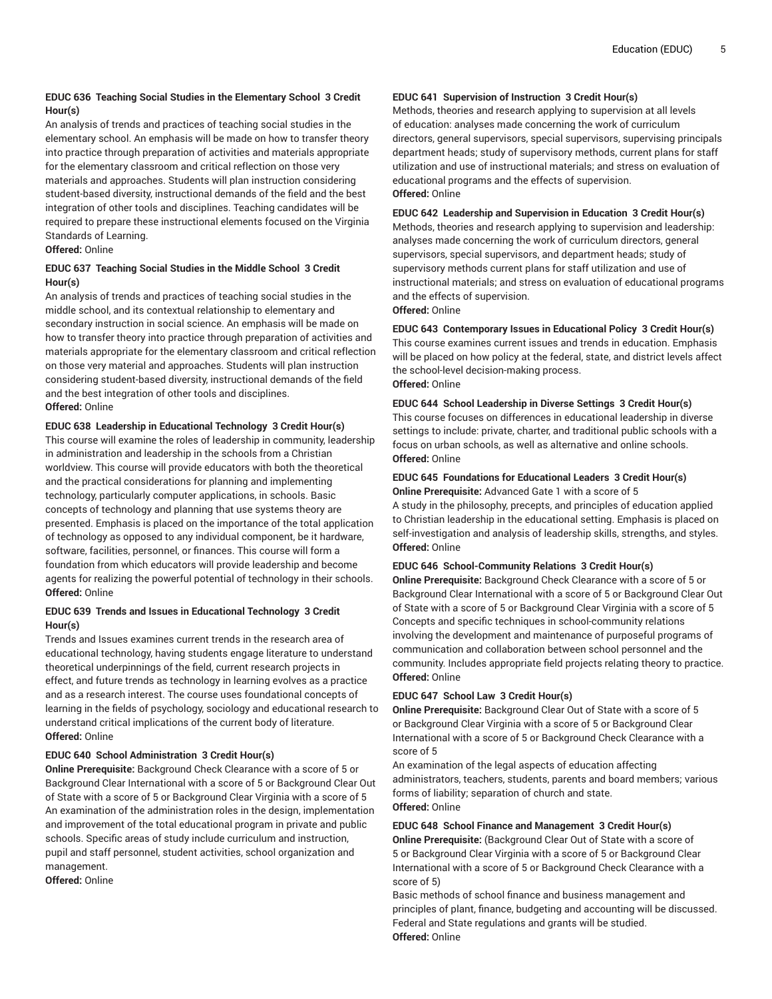# **EDUC 636 Teaching Social Studies in the Elementary School 3 Credit Hour(s)**

An analysis of trends and practices of teaching social studies in the elementary school. An emphasis will be made on how to transfer theory into practice through preparation of activities and materials appropriate for the elementary classroom and critical reflection on those very materials and approaches. Students will plan instruction considering student-based diversity, instructional demands of the field and the best integration of other tools and disciplines. Teaching candidates will be required to prepare these instructional elements focused on the Virginia Standards of Learning.

# **Offered:** Online

# **EDUC 637 Teaching Social Studies in the Middle School 3 Credit Hour(s)**

An analysis of trends and practices of teaching social studies in the middle school, and its contextual relationship to elementary and secondary instruction in social science. An emphasis will be made on how to transfer theory into practice through preparation of activities and materials appropriate for the elementary classroom and critical reflection on those very material and approaches. Students will plan instruction considering student-based diversity, instructional demands of the field and the best integration of other tools and disciplines. **Offered:** Online

# **EDUC 638 Leadership in Educational Technology 3 Credit Hour(s)**

This course will examine the roles of leadership in community, leadership in administration and leadership in the schools from a Christian worldview. This course will provide educators with both the theoretical and the practical considerations for planning and implementing technology, particularly computer applications, in schools. Basic concepts of technology and planning that use systems theory are presented. Emphasis is placed on the importance of the total application of technology as opposed to any individual component, be it hardware, software, facilities, personnel, or finances. This course will form a foundation from which educators will provide leadership and become agents for realizing the powerful potential of technology in their schools. **Offered:** Online

# **EDUC 639 Trends and Issues in Educational Technology 3 Credit Hour(s)**

Trends and Issues examines current trends in the research area of educational technology, having students engage literature to understand theoretical underpinnings of the field, current research projects in effect, and future trends as technology in learning evolves as a practice and as a research interest. The course uses foundational concepts of learning in the fields of psychology, sociology and educational research to understand critical implications of the current body of literature. **Offered:** Online

# **EDUC 640 School Administration 3 Credit Hour(s)**

**Online Prerequisite:** Background Check Clearance with a score of 5 or Background Clear International with a score of 5 or Background Clear Out of State with a score of 5 or Background Clear Virginia with a score of 5 An examination of the administration roles in the design, implementation and improvement of the total educational program in private and public schools. Specific areas of study include curriculum and instruction, pupil and staff personnel, student activities, school organization and management.

**Offered:** Online

#### **EDUC 641 Supervision of Instruction 3 Credit Hour(s)**

Methods, theories and research applying to supervision at all levels of education: analyses made concerning the work of curriculum directors, general supervisors, special supervisors, supervising principals department heads; study of supervisory methods, current plans for staff utilization and use of instructional materials; and stress on evaluation of educational programs and the effects of supervision. **Offered:** Online

#### **EDUC 642 Leadership and Supervision in Education 3 Credit Hour(s)**

Methods, theories and research applying to supervision and leadership: analyses made concerning the work of curriculum directors, general supervisors, special supervisors, and department heads; study of supervisory methods current plans for staff utilization and use of instructional materials; and stress on evaluation of educational programs and the effects of supervision.

**Offered:** Online

# **EDUC 643 Contemporary Issues in Educational Policy 3 Credit Hour(s)**

This course examines current issues and trends in education. Emphasis will be placed on how policy at the federal, state, and district levels affect the school-level decision-making process. **Offered:** Online

# **EDUC 644 School Leadership in Diverse Settings 3 Credit Hour(s)**

This course focuses on differences in educational leadership in diverse settings to include: private, charter, and traditional public schools with a focus on urban schools, as well as alternative and online schools. **Offered:** Online

# **EDUC 645 Foundations for Educational Leaders 3 Credit Hour(s)**

**Online Prerequisite:** Advanced Gate 1 with a score of 5

A study in the philosophy, precepts, and principles of education applied to Christian leadership in the educational setting. Emphasis is placed on self-investigation and analysis of leadership skills, strengths, and styles. **Offered:** Online

# **EDUC 646 School-Community Relations 3 Credit Hour(s)**

**Online Prerequisite:** Background Check Clearance with a score of 5 or Background Clear International with a score of 5 or Background Clear Out of State with a score of 5 or Background Clear Virginia with a score of 5 Concepts and specific techniques in school-community relations involving the development and maintenance of purposeful programs of communication and collaboration between school personnel and the community. Includes appropriate field projects relating theory to practice. **Offered:** Online

# **EDUC 647 School Law 3 Credit Hour(s)**

**Online Prerequisite:** Background Clear Out of State with a score of 5 or Background Clear Virginia with a score of 5 or Background Clear International with a score of 5 or Background Check Clearance with a score of 5

An examination of the legal aspects of education affecting administrators, teachers, students, parents and board members; various forms of liability; separation of church and state. **Offered:** Online

# **EDUC 648 School Finance and Management 3 Credit Hour(s)**

**Online Prerequisite:** (Background Clear Out of State with a score of 5 or Background Clear Virginia with a score of 5 or Background Clear International with a score of 5 or Background Check Clearance with a score of 5)

Basic methods of school finance and business management and principles of plant, finance, budgeting and accounting will be discussed. Federal and State regulations and grants will be studied. **Offered:** Online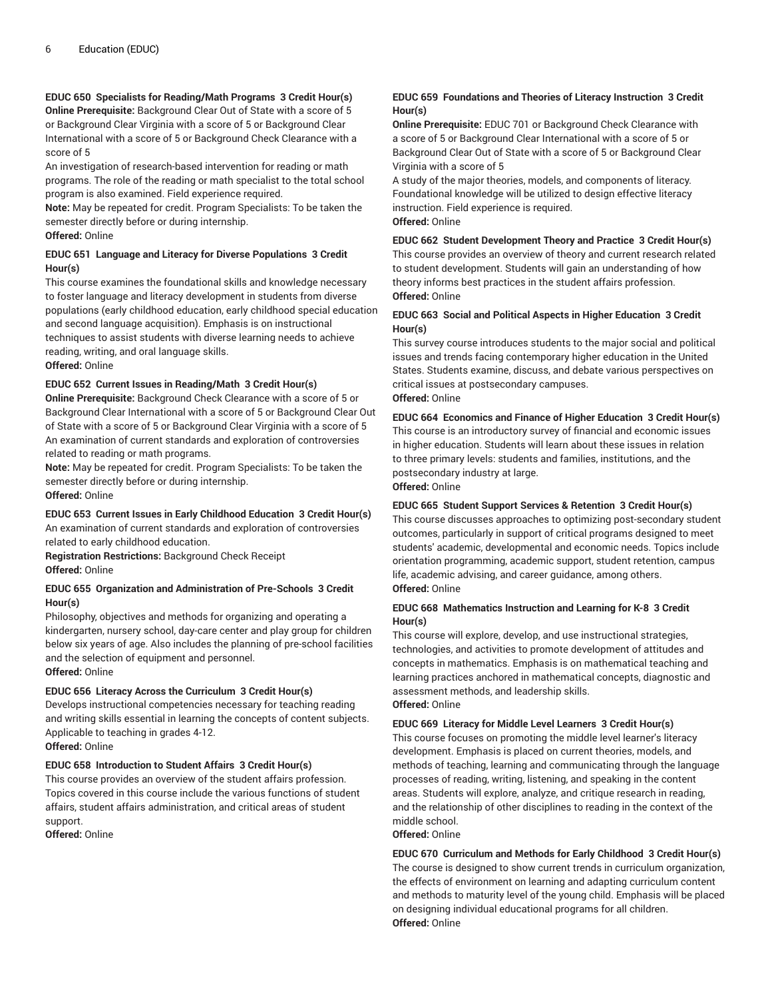# **EDUC 650 Specialists for Reading/Math Programs 3 Credit Hour(s)**

**Online Prerequisite:** Background Clear Out of State with a score of 5 or Background Clear Virginia with a score of 5 or Background Clear International with a score of 5 or Background Check Clearance with a score of 5

An investigation of research-based intervention for reading or math programs. The role of the reading or math specialist to the total school program is also examined. Field experience required.

**Note:** May be repeated for credit. Program Specialists: To be taken the semester directly before or during internship.

**Offered:** Online

#### **EDUC 651 Language and Literacy for Diverse Populations 3 Credit Hour(s)**

This course examines the foundational skills and knowledge necessary to foster language and literacy development in students from diverse populations (early childhood education, early childhood special education and second language acquisition). Emphasis is on instructional techniques to assist students with diverse learning needs to achieve reading, writing, and oral language skills. **Offered:** Online

# **EDUC 652 Current Issues in Reading/Math 3 Credit Hour(s)**

**Online Prerequisite:** Background Check Clearance with a score of 5 or Background Clear International with a score of 5 or Background Clear Out of State with a score of 5 or Background Clear Virginia with a score of 5 An examination of current standards and exploration of controversies related to reading or math programs.

**Note:** May be repeated for credit. Program Specialists: To be taken the semester directly before or during internship. **Offered:** Online

# **EDUC 653 Current Issues in Early Childhood Education 3 Credit Hour(s)**

An examination of current standards and exploration of controversies related to early childhood education.

**Registration Restrictions:** Background Check Receipt **Offered:** Online

#### **EDUC 655 Organization and Administration of Pre-Schools 3 Credit Hour(s)**

Philosophy, objectives and methods for organizing and operating a kindergarten, nursery school, day-care center and play group for children below six years of age. Also includes the planning of pre-school facilities and the selection of equipment and personnel. **Offered:** Online

# **EDUC 656 Literacy Across the Curriculum 3 Credit Hour(s)**

Develops instructional competencies necessary for teaching reading and writing skills essential in learning the concepts of content subjects. Applicable to teaching in grades 4-12.

**Offered:** Online

# **EDUC 658 Introduction to Student Affairs 3 Credit Hour(s)**

This course provides an overview of the student affairs profession. Topics covered in this course include the various functions of student affairs, student affairs administration, and critical areas of student support.

**Offered:** Online

# **EDUC 659 Foundations and Theories of Literacy Instruction 3 Credit Hour(s)**

**Online Prerequisite:** EDUC 701 or Background Check Clearance with a score of 5 or Background Clear International with a score of 5 or Background Clear Out of State with a score of 5 or Background Clear Virginia with a score of 5

A study of the major theories, models, and components of literacy. Foundational knowledge will be utilized to design effective literacy instruction. Field experience is required. **Offered:** Online

#### **EDUC 662 Student Development Theory and Practice 3 Credit Hour(s)**

This course provides an overview of theory and current research related to student development. Students will gain an understanding of how theory informs best practices in the student affairs profession. **Offered:** Online

#### **EDUC 663 Social and Political Aspects in Higher Education 3 Credit Hour(s)**

This survey course introduces students to the major social and political issues and trends facing contemporary higher education in the United States. Students examine, discuss, and debate various perspectives on critical issues at postsecondary campuses. **Offered:** Online

#### **EDUC 664 Economics and Finance of Higher Education 3 Credit Hour(s)**

This course is an introductory survey of financial and economic issues in higher education. Students will learn about these issues in relation to three primary levels: students and families, institutions, and the postsecondary industry at large.

# **Offered:** Online

#### **EDUC 665 Student Support Services & Retention 3 Credit Hour(s)**

This course discusses approaches to optimizing post-secondary student outcomes, particularly in support of critical programs designed to meet students' academic, developmental and economic needs. Topics include orientation programming, academic support, student retention, campus life, academic advising, and career guidance, among others. **Offered:** Online

#### **EDUC 668 Mathematics Instruction and Learning for K-8 3 Credit Hour(s)**

This course will explore, develop, and use instructional strategies, technologies, and activities to promote development of attitudes and concepts in mathematics. Emphasis is on mathematical teaching and learning practices anchored in mathematical concepts, diagnostic and assessment methods, and leadership skills. **Offered:** Online

**EDUC 669 Literacy for Middle Level Learners 3 Credit Hour(s)** This course focuses on promoting the middle level learner's literacy development. Emphasis is placed on current theories, models, and methods of teaching, learning and communicating through the language processes of reading, writing, listening, and speaking in the content areas. Students will explore, analyze, and critique research in reading, and the relationship of other disciplines to reading in the context of the middle school.

#### **Offered:** Online

**EDUC 670 Curriculum and Methods for Early Childhood 3 Credit Hour(s)** The course is designed to show current trends in curriculum organization, the effects of environment on learning and adapting curriculum content and methods to maturity level of the young child. Emphasis will be placed on designing individual educational programs for all children. **Offered:** Online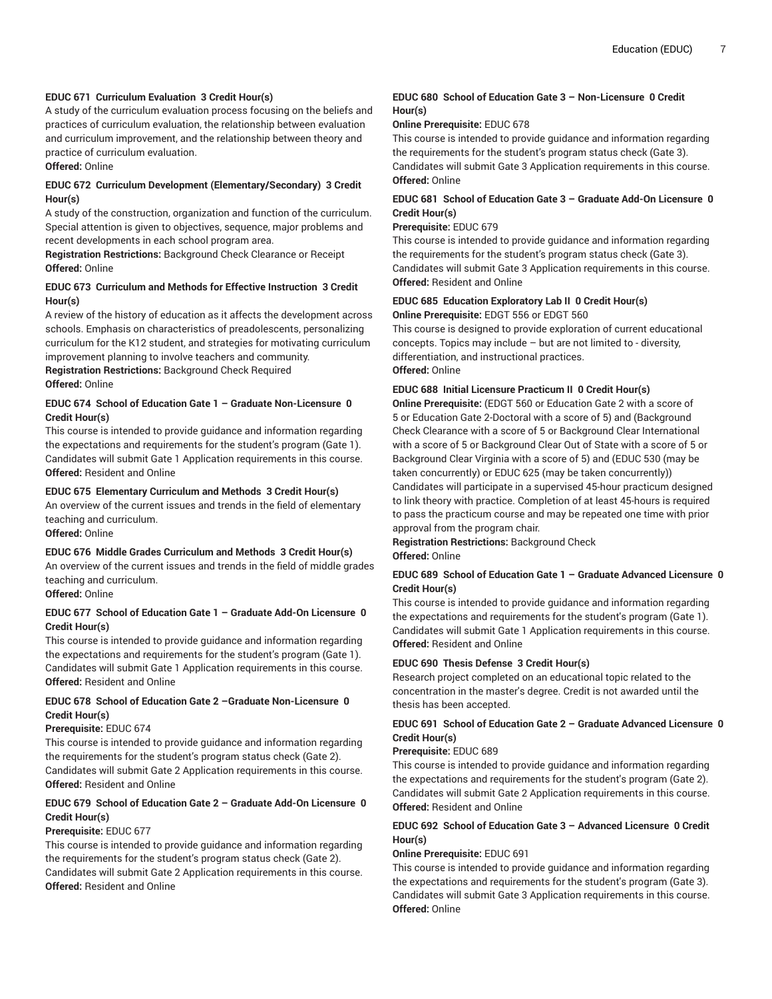#### **EDUC 671 Curriculum Evaluation 3 Credit Hour(s)**

A study of the curriculum evaluation process focusing on the beliefs and practices of curriculum evaluation, the relationship between evaluation and curriculum improvement, and the relationship between theory and practice of curriculum evaluation.

**Offered:** Online

# **EDUC 672 Curriculum Development (Elementary/Secondary) 3 Credit Hour(s)**

A study of the construction, organization and function of the curriculum. Special attention is given to objectives, sequence, major problems and recent developments in each school program area.

**Registration Restrictions:** Background Check Clearance or Receipt **Offered:** Online

#### **EDUC 673 Curriculum and Methods for Effective Instruction 3 Credit Hour(s)**

A review of the history of education as it affects the development across schools. Emphasis on characteristics of preadolescents, personalizing curriculum for the K12 student, and strategies for motivating curriculum improvement planning to involve teachers and community.

**Registration Restrictions:** Background Check Required **Offered:** Online

# **EDUC 674 School of Education Gate 1 – Graduate Non-Licensure 0 Credit Hour(s)**

This course is intended to provide guidance and information regarding the expectations and requirements for the student's program (Gate 1). Candidates will submit Gate 1 Application requirements in this course. **Offered:** Resident and Online

#### **EDUC 675 Elementary Curriculum and Methods 3 Credit Hour(s)**

An overview of the current issues and trends in the field of elementary teaching and curriculum.

**Offered:** Online

#### **EDUC 676 Middle Grades Curriculum and Methods 3 Credit Hour(s)**

An overview of the current issues and trends in the field of middle grades teaching and curriculum.

**Offered:** Online

#### **EDUC 677 School of Education Gate 1 – Graduate Add-On Licensure 0 Credit Hour(s)**

This course is intended to provide guidance and information regarding the expectations and requirements for the student's program (Gate 1). Candidates will submit Gate 1 Application requirements in this course. **Offered:** Resident and Online

# **EDUC 678 School of Education Gate 2 –Graduate Non-Licensure 0 Credit Hour(s)**

#### **Prerequisite:** EDUC 674

This course is intended to provide guidance and information regarding the requirements for the student's program status check (Gate 2). Candidates will submit Gate 2 Application requirements in this course. **Offered:** Resident and Online

# **EDUC 679 School of Education Gate 2 – Graduate Add-On Licensure 0 Credit Hour(s)**

#### **Prerequisite:** EDUC 677

This course is intended to provide guidance and information regarding the requirements for the student's program status check (Gate 2). Candidates will submit Gate 2 Application requirements in this course. **Offered:** Resident and Online

#### **EDUC 680 School of Education Gate 3 – Non-Licensure 0 Credit Hour(s)**

#### **Online Prerequisite:** EDUC 678

This course is intended to provide guidance and information regarding the requirements for the student's program status check (Gate 3). Candidates will submit Gate 3 Application requirements in this course. **Offered:** Online

# **EDUC 681 School of Education Gate 3 – Graduate Add-On Licensure 0 Credit Hour(s)**

#### **Prerequisite:** EDUC 679

This course is intended to provide guidance and information regarding the requirements for the student's program status check (Gate 3). Candidates will submit Gate 3 Application requirements in this course. **Offered:** Resident and Online

#### **EDUC 685 Education Exploratory Lab II 0 Credit Hour(s) Online Prerequisite:** EDGT 556 or EDGT 560

This course is designed to provide exploration of current educational concepts. Topics may include – but are not limited to - diversity, differentiation, and instructional practices. **Offered:** Online

#### **EDUC 688 Initial Licensure Practicum II 0 Credit Hour(s)**

**Online Prerequisite:** (EDGT 560 or Education Gate 2 with a score of 5 or Education Gate 2-Doctoral with a score of 5) and (Background Check Clearance with a score of 5 or Background Clear International with a score of 5 or Background Clear Out of State with a score of 5 or Background Clear Virginia with a score of 5) and (EDUC 530 (may be taken concurrently) or EDUC 625 (may be taken concurrently)) Candidates will participate in a supervised 45-hour practicum designed to link theory with practice. Completion of at least 45-hours is required to pass the practicum course and may be repeated one time with prior approval from the program chair.

**Registration Restrictions:** Background Check

**Offered:** Online

#### **EDUC 689 School of Education Gate 1 – Graduate Advanced Licensure 0 Credit Hour(s)**

This course is intended to provide guidance and information regarding the expectations and requirements for the student's program (Gate 1). Candidates will submit Gate 1 Application requirements in this course. **Offered:** Resident and Online

# **EDUC 690 Thesis Defense 3 Credit Hour(s)**

Research project completed on an educational topic related to the concentration in the master's degree. Credit is not awarded until the thesis has been accepted.

# **EDUC 691 School of Education Gate 2 – Graduate Advanced Licensure 0 Credit Hour(s)**

#### **Prerequisite:** EDUC 689

This course is intended to provide guidance and information regarding the expectations and requirements for the student's program (Gate 2). Candidates will submit Gate 2 Application requirements in this course. **Offered:** Resident and Online

# **EDUC 692 School of Education Gate 3 – Advanced Licensure 0 Credit Hour(s)**

# **Online Prerequisite:** EDUC 691

This course is intended to provide guidance and information regarding the expectations and requirements for the student's program (Gate 3). Candidates will submit Gate 3 Application requirements in this course. **Offered:** Online